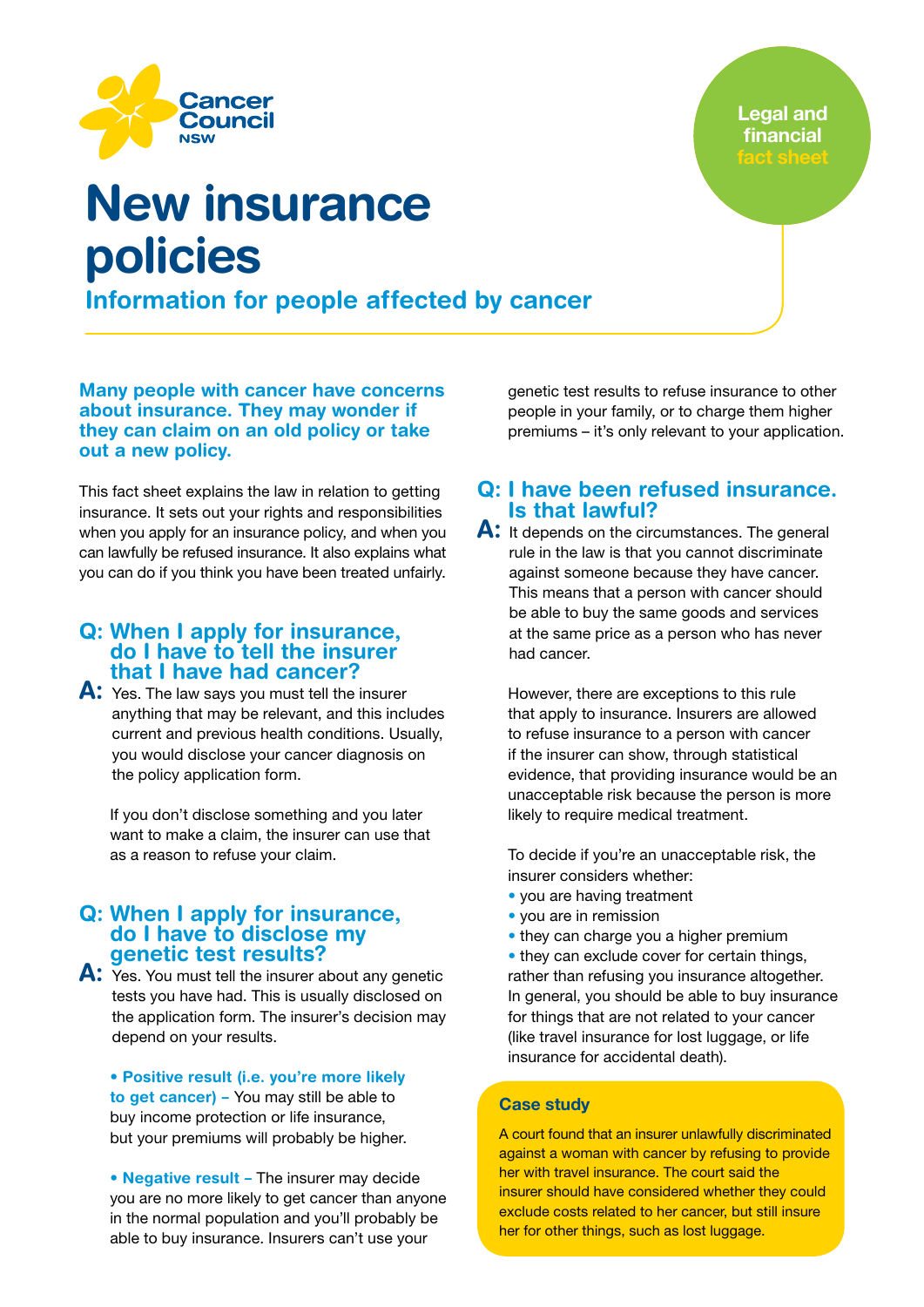

**Legal and** financial

## Information for people affected by cancer New insurance policies

Many people with cancer have concerns about insurance. They may wonder if they can claim on an old policy or take out a new policy.

This fact sheet explains the law in relation to getting insurance. It sets out your rights and responsibilities when you apply for an insurance policy, and when you can lawfully be refused insurance. It also explains what you can do if you think you have been treated unfairly.

#### Q: When I apply for insurance, do I have to tell the insurer that I have had cancer?

A: Yes. The law says you must tell the insurer anything that may be relevant, and this includes current and previous health conditions. Usually, you would disclose your cancer diagnosis on the policy application form.

If you don't disclose something and you later want to make a claim, the insurer can use that as a reason to refuse your claim.

### Q: When I apply for insurance, do I have to disclose my<br>genetic test results?

A: Yes. You must tell the insurer about any genetic tests you have had. This is usually disclosed on the application form. The insurer's decision may depend on your results.

• Positive result (i.e. you're more likely to get cancer) – You may still be able to buy income protection or life insurance, but your premiums will probably be higher.

• Negative result – The insurer may decide you are no more likely to get cancer than anyone in the normal population and you'll probably be able to buy insurance. Insurers can't use your

genetic test results to refuse insurance to other people in your family, or to charge them higher premiums – it's only relevant to your application.

#### Q: I have been refused insurance. Is that lawful?

A: It depends on the circumstances. The general rule in the law is that you cannot discriminate against someone because they have cancer. This means that a person with cancer should be able to buy the same goods and services at the same price as a person who has never had cancer.

However, there are exceptions to this rule that apply to insurance. Insurers are allowed to refuse insurance to a person with cancer if the insurer can show, through statistical evidence, that providing insurance would be an unacceptable risk because the person is more likely to require medical treatment.

To decide if you're an unacceptable risk, the insurer considers whether:

- you are having treatment
- you are in remission
- they can charge you a higher premium

• they can exclude cover for certain things, rather than refusing you insurance altogether. In general, you should be able to buy insurance for things that are not related to your cancer (like travel insurance for lost luggage, or life insurance for accidental death).

#### Case study

A court found that an insurer unlawfully discriminated against a woman with cancer by refusing to provide her with travel insurance. The court said the insurer should have considered whether they could exclude costs related to her cancer, but still insure her for other things, such as lost luggage.